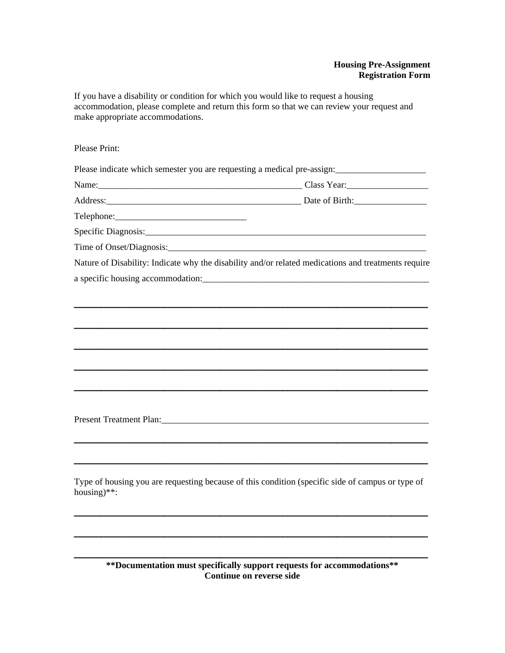## **Housing Pre-Assignment Registration Form**

If you have a disability or condition for which you would like to request a housing accommodation, please complete and return this form so that we can review your request and make appropriate accommodations.

Please Print:

Please indicate which semester you are requesting a medical pre-assign:

Name:\_\_\_\_\_\_\_\_\_\_\_\_\_\_\_\_\_\_\_\_\_\_\_\_\_\_\_\_\_\_\_\_\_\_\_\_\_\_\_\_\_\_\_\_\_ Class Year:\_\_\_\_\_\_\_\_\_\_\_\_\_\_\_\_\_\_ Address: The Contract of Birth: The Contract of Birth: Date of Birth:

Telephone:\_\_\_\_\_\_\_\_\_\_\_\_\_\_\_\_\_\_\_\_\_\_\_\_\_\_\_\_\_

Specific Diagnosis:

Time of Onset/Diagnosis:

Nature of Disability: Indicate why the disability and/or related medications and treatments require a specific housing accommodation:\_\_\_\_\_\_\_\_\_\_\_\_\_\_\_\_\_\_\_\_\_\_\_\_\_\_\_\_\_\_\_\_\_\_\_\_\_\_\_\_\_\_\_\_\_\_\_\_\_\_

\_\_\_\_\_\_\_\_\_\_\_\_\_\_\_\_\_\_\_\_\_\_\_\_\_\_\_\_\_\_\_\_\_\_\_\_\_\_\_

 $\overline{\phantom{a}}$  , and the contract of the contract of the contract of the contract of the contract of the contract of the contract of the contract of the contract of the contract of the contract of the contract of the contrac

\_\_\_\_\_\_\_\_\_\_\_\_\_\_\_\_\_\_\_\_\_\_\_\_\_\_\_\_\_\_\_\_\_\_\_\_\_\_\_

 $\overline{\phantom{a}}$  , and the contract of the contract of the contract of the contract of the contract of the contract of the contract of the contract of the contract of the contract of the contract of the contract of the contrac

\_\_\_\_\_\_\_\_\_\_\_\_\_\_\_\_\_\_\_\_\_\_\_\_\_\_\_\_\_\_\_\_\_\_\_\_\_\_\_

 $\overline{\phantom{a}}$  , and the contract of the contract of the contract of the contract of the contract of the contract of the contract of the contract of the contract of the contract of the contract of the contract of the contrac

\_\_\_\_\_\_\_\_\_\_\_\_\_\_\_\_\_\_\_\_\_\_\_\_\_\_\_\_\_\_\_\_\_\_\_\_\_\_\_

Present Treatment Plan:

Type of housing you are requesting because of this condition (specific side of campus or type of housing)\*\*:

 $\overline{\phantom{a}}$  , and the contract of the contract of the contract of the contract of the contract of the contract of the contract of the contract of the contract of the contract of the contract of the contract of the contrac

\_\_\_\_\_\_\_\_\_\_\_\_\_\_\_\_\_\_\_\_\_\_\_\_\_\_\_\_\_\_\_\_\_\_\_\_\_\_\_

 $\overline{\phantom{a}}$  , and the contract of the contract of the contract of the contract of the contract of the contract of the contract of the contract of the contract of the contract of the contract of the contract of the contrac

**\*\*Documentation must specifically support requests for accommodations\*\* Continue on reverse side**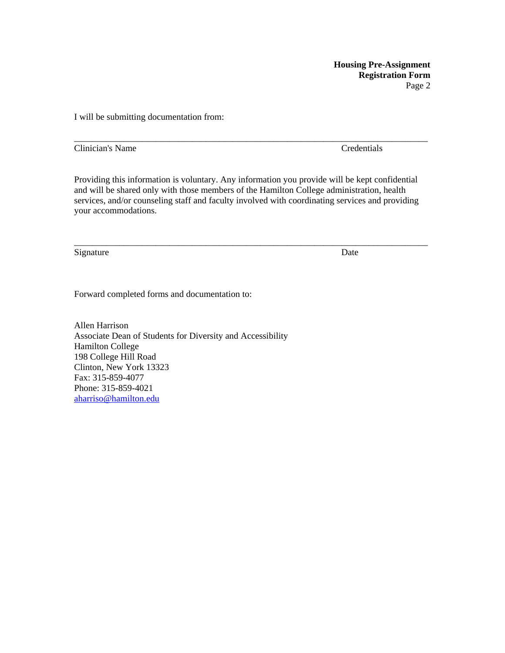**Housing Pre-Assignment Registration Form**  Page 2

I will be submitting documentation from:

Clinician's Name Credentials

Providing this information is voluntary. Any information you provide will be kept confidential and will be shared only with those members of the Hamilton College administration, health services, and/or counseling staff and faculty involved with coordinating services and providing your accommodations.

\_\_\_\_\_\_\_\_\_\_\_\_\_\_\_\_\_\_\_\_\_\_\_\_\_\_\_\_\_\_\_\_\_\_\_\_\_\_\_\_\_\_\_\_\_\_\_\_\_\_\_\_\_\_\_\_\_\_\_\_\_\_\_\_\_\_\_\_\_\_\_\_\_\_\_\_\_\_

\_\_\_\_\_\_\_\_\_\_\_\_\_\_\_\_\_\_\_\_\_\_\_\_\_\_\_\_\_\_\_\_\_\_\_\_\_\_\_\_\_\_\_\_\_\_\_\_\_\_\_\_\_\_\_\_\_\_\_\_\_\_\_\_\_\_\_\_\_\_\_\_\_\_\_\_\_\_

Signature Date

Forward completed forms and documentation to:

Allen Harrison Associate Dean of Students for Diversity and Accessibility Hamilton College 198 College Hill Road Clinton, New York 13323 Fax: 315-859-4077 Phone: 315-859-4021 aharriso@hamilton.edu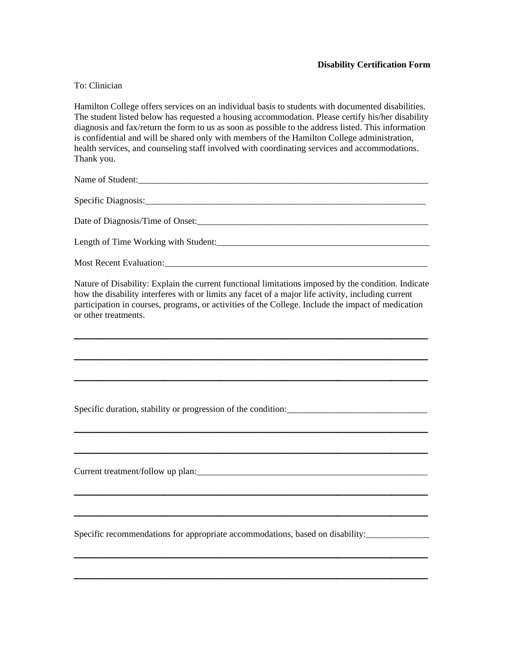## **Disability Certification Form**

## To: Clinician

Hamilton College offers services on an individual basis to students with documented disabilities. The student listed below has requested a housing accommodation. Please certify his/her disability diagnosis and fax/return the form to us as soon as possible to the address listed. This information is confidential and will be shared only with members of the Hamilton College administration, health services, and counseling staff involved with coordinating services and accommodations. Thank you.

Name of Student:

Specific Diagnosis:

Date of Diagnosis/Time of Onset:\_\_\_\_\_\_\_\_\_\_\_\_\_\_\_\_\_\_\_\_\_\_\_\_\_\_\_\_\_\_\_\_\_\_\_\_\_\_\_\_\_\_\_\_\_\_\_\_\_\_\_

Length of Time Working with Student:

Most Recent Evaluation:

Nature of Disability: Explain the current functional limitations imposed by the condition. Indicate how the disability interferes with or limits any facet of a major life activity, including current participation in courses, programs, or activities of the College. Include the impact of medication or other treatments.

\_\_\_\_\_\_\_\_\_\_\_\_\_\_\_\_\_\_\_\_\_\_\_\_\_\_\_\_\_\_\_\_\_\_\_\_\_\_\_

 $\overline{\phantom{a}}$  , and the contract of the contract of the contract of the contract of the contract of the contract of the contract of the contract of the contract of the contract of the contract of the contract of the contrac

\_\_\_\_\_\_\_\_\_\_\_\_\_\_\_\_\_\_\_\_\_\_\_\_\_\_\_\_\_\_\_\_\_\_\_\_\_\_\_

\_\_\_\_\_\_\_\_\_\_\_\_\_\_\_\_\_\_\_\_\_\_\_\_\_\_\_\_\_\_\_\_\_\_\_\_\_\_\_

\_\_\_\_\_\_\_\_\_\_\_\_\_\_\_\_\_\_\_\_\_\_\_\_\_\_\_\_\_\_\_\_\_\_\_\_\_\_\_

\_\_\_\_\_\_\_\_\_\_\_\_\_\_\_\_\_\_\_\_\_\_\_\_\_\_\_\_\_\_\_\_\_\_\_\_\_\_\_

 $\overline{\phantom{a}}$  , and the contract of the contract of the contract of the contract of the contract of the contract of the contract of the contract of the contract of the contract of the contract of the contract of the contrac

 $\overline{\phantom{a}}$  , and the contract of the contract of the contract of the contract of the contract of the contract of the contract of the contract of the contract of the contract of the contract of the contract of the contrac

\_\_\_\_\_\_\_\_\_\_\_\_\_\_\_\_\_\_\_\_\_\_\_\_\_\_\_\_\_\_\_\_\_\_\_\_\_\_\_

Specific duration, stability or progression of the condition:\_\_\_\_\_\_\_\_\_\_\_\_\_\_\_\_\_\_\_\_\_\_\_\_\_\_\_\_\_\_\_

Current treatment/follow up plan:

Specific recommendations for appropriate accommodations, based on disability: